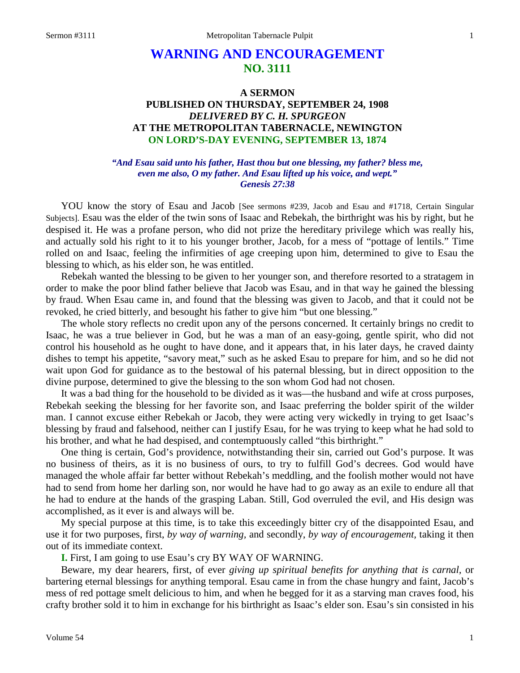# **WARNING AND ENCOURAGEMENT NO. 3111**

## **A SERMON PUBLISHED ON THURSDAY, SEPTEMBER 24, 1908** *DELIVERED BY C. H. SPURGEON* **AT THE METROPOLITAN TABERNACLE, NEWINGTON ON LORD'S-DAY EVENING, SEPTEMBER 13, 1874**

#### *"And Esau said unto his father, Hast thou but one blessing, my father? bless me, even me also, O my father. And Esau lifted up his voice, and wept." Genesis 27:38*

YOU know the story of Esau and Jacob [See sermons #239, Jacob and Esau and #1718, Certain Singular Subjects]. Esau was the elder of the twin sons of Isaac and Rebekah, the birthright was his by right, but he despised it. He was a profane person, who did not prize the hereditary privilege which was really his, and actually sold his right to it to his younger brother, Jacob, for a mess of "pottage of lentils." Time rolled on and Isaac, feeling the infirmities of age creeping upon him, determined to give to Esau the blessing to which, as his elder son, he was entitled.

Rebekah wanted the blessing to be given to her younger son, and therefore resorted to a stratagem in order to make the poor blind father believe that Jacob was Esau, and in that way he gained the blessing by fraud. When Esau came in, and found that the blessing was given to Jacob, and that it could not be revoked, he cried bitterly, and besought his father to give him "but one blessing."

The whole story reflects no credit upon any of the persons concerned. It certainly brings no credit to Isaac, he was a true believer in God, but he was a man of an easy-going, gentle spirit, who did not control his household as he ought to have done, and it appears that, in his later days, he craved dainty dishes to tempt his appetite, "savory meat," such as he asked Esau to prepare for him, and so he did not wait upon God for guidance as to the bestowal of his paternal blessing, but in direct opposition to the divine purpose, determined to give the blessing to the son whom God had not chosen.

It was a bad thing for the household to be divided as it was—the husband and wife at cross purposes, Rebekah seeking the blessing for her favorite son, and Isaac preferring the bolder spirit of the wilder man. I cannot excuse either Rebekah or Jacob, they were acting very wickedly in trying to get Isaac's blessing by fraud and falsehood, neither can I justify Esau, for he was trying to keep what he had sold to his brother, and what he had despised, and contemptuously called "this birthright."

One thing is certain, God's providence, notwithstanding their sin, carried out God's purpose. It was no business of theirs, as it is no business of ours, to try to fulfill God's decrees. God would have managed the whole affair far better without Rebekah's meddling, and the foolish mother would not have had to send from home her darling son, nor would he have had to go away as an exile to endure all that he had to endure at the hands of the grasping Laban. Still, God overruled the evil, and His design was accomplished, as it ever is and always will be.

My special purpose at this time, is to take this exceedingly bitter cry of the disappointed Esau, and use it for two purposes, first, *by way of warning,* and secondly, *by way of encouragement,* taking it then out of its immediate context.

**I.** First, I am going to use Esau's cry BY WAY OF WARNING.

Beware, my dear hearers, first, of ever *giving up spiritual benefits for anything that is carnal,* or bartering eternal blessings for anything temporal. Esau came in from the chase hungry and faint, Jacob's mess of red pottage smelt delicious to him, and when he begged for it as a starving man craves food, his crafty brother sold it to him in exchange for his birthright as Isaac's elder son. Esau's sin consisted in his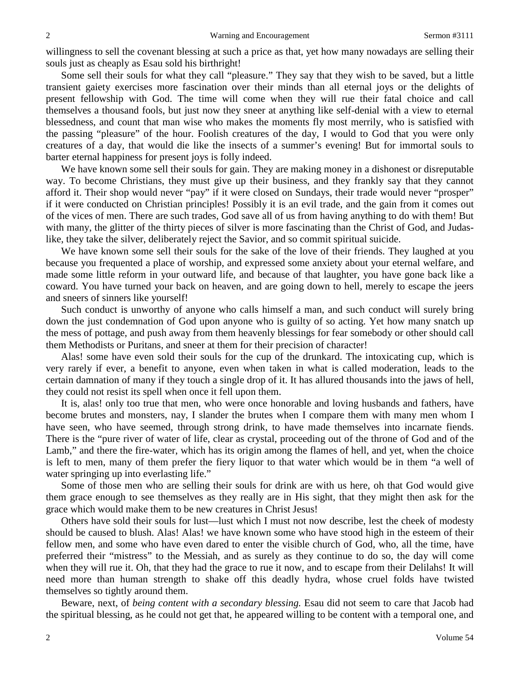willingness to sell the covenant blessing at such a price as that, yet how many nowadays are selling their souls just as cheaply as Esau sold his birthright!

Some sell their souls for what they call "pleasure." They say that they wish to be saved, but a little transient gaiety exercises more fascination over their minds than all eternal joys or the delights of present fellowship with God. The time will come when they will rue their fatal choice and call themselves a thousand fools, but just now they sneer at anything like self-denial with a view to eternal blessedness, and count that man wise who makes the moments fly most merrily, who is satisfied with the passing "pleasure" of the hour. Foolish creatures of the day, I would to God that you were only creatures of a day, that would die like the insects of a summer's evening! But for immortal souls to barter eternal happiness for present joys is folly indeed.

We have known some sell their souls for gain. They are making money in a dishonest or disreputable way. To become Christians, they must give up their business, and they frankly say that they cannot afford it. Their shop would never "pay" if it were closed on Sundays, their trade would never "prosper" if it were conducted on Christian principles! Possibly it is an evil trade, and the gain from it comes out of the vices of men. There are such trades, God save all of us from having anything to do with them! But with many, the glitter of the thirty pieces of silver is more fascinating than the Christ of God, and Judaslike, they take the silver, deliberately reject the Savior, and so commit spiritual suicide.

We have known some sell their souls for the sake of the love of their friends. They laughed at you because you frequented a place of worship, and expressed some anxiety about your eternal welfare, and made some little reform in your outward life, and because of that laughter, you have gone back like a coward. You have turned your back on heaven, and are going down to hell, merely to escape the jeers and sneers of sinners like yourself!

Such conduct is unworthy of anyone who calls himself a man, and such conduct will surely bring down the just condemnation of God upon anyone who is guilty of so acting. Yet how many snatch up the mess of pottage, and push away from them heavenly blessings for fear somebody or other should call them Methodists or Puritans, and sneer at them for their precision of character!

Alas! some have even sold their souls for the cup of the drunkard. The intoxicating cup, which is very rarely if ever, a benefit to anyone, even when taken in what is called moderation, leads to the certain damnation of many if they touch a single drop of it. It has allured thousands into the jaws of hell, they could not resist its spell when once it fell upon them.

It is, alas! only too true that men, who were once honorable and loving husbands and fathers, have become brutes and monsters, nay, I slander the brutes when I compare them with many men whom I have seen, who have seemed, through strong drink, to have made themselves into incarnate fiends. There is the "pure river of water of life, clear as crystal, proceeding out of the throne of God and of the Lamb," and there the fire-water, which has its origin among the flames of hell, and yet, when the choice is left to men, many of them prefer the fiery liquor to that water which would be in them "a well of water springing up into everlasting life."

Some of those men who are selling their souls for drink are with us here, oh that God would give them grace enough to see themselves as they really are in His sight, that they might then ask for the grace which would make them to be new creatures in Christ Jesus!

Others have sold their souls for lust—lust which I must not now describe, lest the cheek of modesty should be caused to blush. Alas! Alas! we have known some who have stood high in the esteem of their fellow men, and some who have even dared to enter the visible church of God, who, all the time, have preferred their "mistress" to the Messiah, and as surely as they continue to do so, the day will come when they will rue it. Oh, that they had the grace to rue it now, and to escape from their Delilahs! It will need more than human strength to shake off this deadly hydra, whose cruel folds have twisted themselves so tightly around them.

Beware, next, of *being content with a secondary blessing.* Esau did not seem to care that Jacob had the spiritual blessing, as he could not get that, he appeared willing to be content with a temporal one, and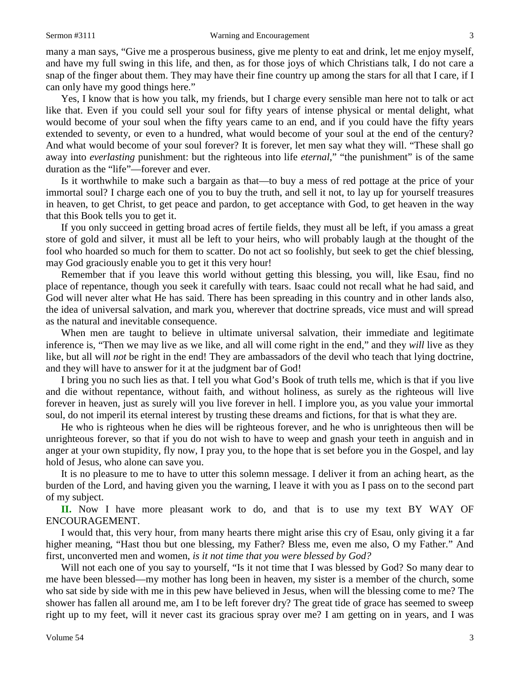many a man says, "Give me a prosperous business, give me plenty to eat and drink, let me enjoy myself, and have my full swing in this life, and then, as for those joys of which Christians talk, I do not care a snap of the finger about them. They may have their fine country up among the stars for all that I care, if I can only have my good things here."

Yes, I know that is how you talk, my friends, but I charge every sensible man here not to talk or act like that. Even if you could sell your soul for fifty years of intense physical or mental delight, what would become of your soul when the fifty years came to an end, and if you could have the fifty years extended to seventy, or even to a hundred, what would become of your soul at the end of the century? And what would become of your soul forever? It is forever, let men say what they will. "These shall go away into *everlasting* punishment: but the righteous into life *eternal*," "the punishment" is of the same duration as the "life"—forever and ever.

Is it worthwhile to make such a bargain as that—to buy a mess of red pottage at the price of your immortal soul? I charge each one of you to buy the truth, and sell it not, to lay up for yourself treasures in heaven, to get Christ, to get peace and pardon, to get acceptance with God, to get heaven in the way that this Book tells you to get it.

If you only succeed in getting broad acres of fertile fields, they must all be left, if you amass a great store of gold and silver, it must all be left to your heirs, who will probably laugh at the thought of the fool who hoarded so much for them to scatter. Do not act so foolishly, but seek to get the chief blessing, may God graciously enable you to get it this very hour!

Remember that if you leave this world without getting this blessing, you will, like Esau, find no place of repentance, though you seek it carefully with tears. Isaac could not recall what he had said, and God will never alter what He has said. There has been spreading in this country and in other lands also, the idea of universal salvation, and mark you, wherever that doctrine spreads, vice must and will spread as the natural and inevitable consequence.

When men are taught to believe in ultimate universal salvation, their immediate and legitimate inference is, "Then we may live as we like, and all will come right in the end," and they *will* live as they like, but all will *not* be right in the end! They are ambassadors of the devil who teach that lying doctrine, and they will have to answer for it at the judgment bar of God!

I bring you no such lies as that. I tell you what God's Book of truth tells me, which is that if you live and die without repentance, without faith, and without holiness, as surely as the righteous will live forever in heaven, just as surely will you live forever in hell. I implore you, as you value your immortal soul, do not imperil its eternal interest by trusting these dreams and fictions, for that is what they are.

He who is righteous when he dies will be righteous forever, and he who is unrighteous then will be unrighteous forever, so that if you do not wish to have to weep and gnash your teeth in anguish and in anger at your own stupidity, fly now, I pray you, to the hope that is set before you in the Gospel, and lay hold of Jesus, who alone can save you.

It is no pleasure to me to have to utter this solemn message. I deliver it from an aching heart, as the burden of the Lord, and having given you the warning, I leave it with you as I pass on to the second part of my subject.

**II.** Now I have more pleasant work to do, and that is to use my text BY WAY OF ENCOURAGEMENT.

I would that, this very hour, from many hearts there might arise this cry of Esau, only giving it a far higher meaning, "Hast thou but one blessing, my Father? Bless me, even me also, O my Father." And first, unconverted men and women, *is it not time that you were blessed by God?* 

Will not each one of you say to yourself, "Is it not time that I was blessed by God? So many dear to me have been blessed—my mother has long been in heaven, my sister is a member of the church, some who sat side by side with me in this pew have believed in Jesus, when will the blessing come to me? The shower has fallen all around me, am I to be left forever dry? The great tide of grace has seemed to sweep right up to my feet, will it never cast its gracious spray over me? I am getting on in years, and I was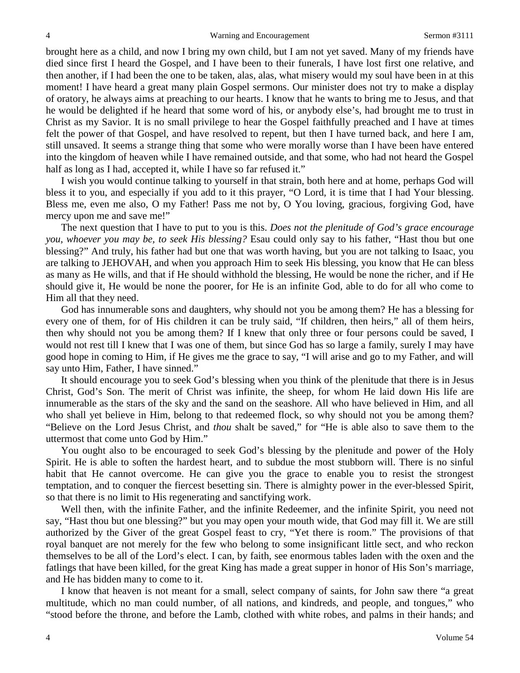brought here as a child, and now I bring my own child, but I am not yet saved. Many of my friends have died since first I heard the Gospel, and I have been to their funerals, I have lost first one relative, and then another, if I had been the one to be taken, alas, alas, what misery would my soul have been in at this moment! I have heard a great many plain Gospel sermons. Our minister does not try to make a display of oratory, he always aims at preaching to our hearts. I know that he wants to bring me to Jesus, and that he would be delighted if he heard that some word of his, or anybody else's, had brought me to trust in Christ as my Savior. It is no small privilege to hear the Gospel faithfully preached and I have at times felt the power of that Gospel, and have resolved to repent, but then I have turned back, and here I am, still unsaved. It seems a strange thing that some who were morally worse than I have been have entered into the kingdom of heaven while I have remained outside, and that some, who had not heard the Gospel half as long as I had, accepted it, while I have so far refused it."

I wish you would continue talking to yourself in that strain, both here and at home, perhaps God will bless it to you, and especially if you add to it this prayer, "O Lord, it is time that I had Your blessing. Bless me, even me also, O my Father! Pass me not by, O You loving, gracious, forgiving God, have mercy upon me and save me!"

The next question that I have to put to you is this. *Does not the plenitude of God's grace encourage you, whoever you may be, to seek His blessing?* Esau could only say to his father, "Hast thou but one blessing?" And truly, his father had but one that was worth having, but you are not talking to Isaac, you are talking to JEHOVAH, and when you approach Him to seek His blessing, you know that He can bless as many as He wills, and that if He should withhold the blessing, He would be none the richer, and if He should give it, He would be none the poorer, for He is an infinite God, able to do for all who come to Him all that they need.

God has innumerable sons and daughters, why should not you be among them? He has a blessing for every one of them, for of His children it can be truly said, "If children, then heirs," all of them heirs, then why should not you be among them? If I knew that only three or four persons could be saved, I would not rest till I knew that I was one of them, but since God has so large a family, surely I may have good hope in coming to Him, if He gives me the grace to say, "I will arise and go to my Father, and will say unto Him, Father, I have sinned."

It should encourage you to seek God's blessing when you think of the plenitude that there is in Jesus Christ, God's Son. The merit of Christ was infinite, the sheep, for whom He laid down His life are innumerable as the stars of the sky and the sand on the seashore. All who have believed in Him, and all who shall yet believe in Him, belong to that redeemed flock, so why should not you be among them? "Believe on the Lord Jesus Christ, and *thou* shalt be saved," for "He is able also to save them to the uttermost that come unto God by Him."

You ought also to be encouraged to seek God's blessing by the plenitude and power of the Holy Spirit. He is able to soften the hardest heart, and to subdue the most stubborn will. There is no sinful habit that He cannot overcome. He can give you the grace to enable you to resist the strongest temptation, and to conquer the fiercest besetting sin. There is almighty power in the ever-blessed Spirit, so that there is no limit to His regenerating and sanctifying work.

Well then, with the infinite Father, and the infinite Redeemer, and the infinite Spirit, you need not say, "Hast thou but one blessing?" but you may open your mouth wide, that God may fill it. We are still authorized by the Giver of the great Gospel feast to cry, "Yet there is room." The provisions of that royal banquet are not merely for the few who belong to some insignificant little sect, and who reckon themselves to be all of the Lord's elect. I can, by faith, see enormous tables laden with the oxen and the fatlings that have been killed, for the great King has made a great supper in honor of His Son's marriage, and He has bidden many to come to it.

I know that heaven is not meant for a small, select company of saints, for John saw there "a great multitude, which no man could number, of all nations, and kindreds, and people, and tongues," who "stood before the throne, and before the Lamb, clothed with white robes, and palms in their hands; and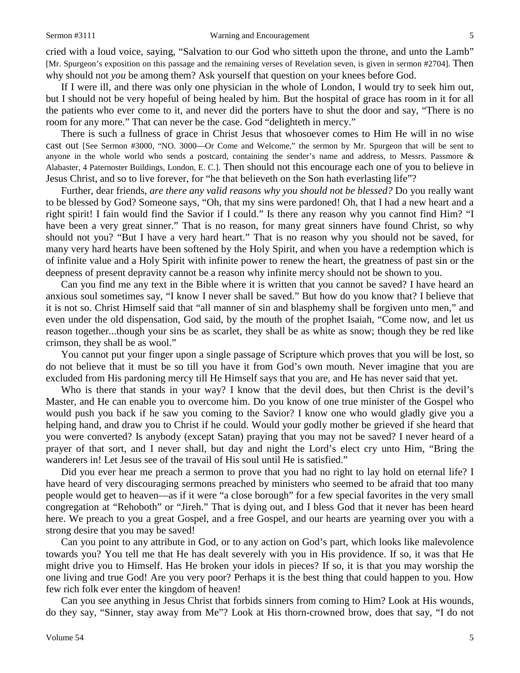cried with a loud voice, saying, "Salvation to our God who sitteth upon the throne, and unto the Lamb" [Mr. Spurgeon's exposition on this passage and the remaining verses of Revelation seven, is given in sermon #2704]. Then why should not *you* be among them? Ask yourself that question on your knees before God.

If I were ill, and there was only one physician in the whole of London, I would try to seek him out, but I should not be very hopeful of being healed by him. But the hospital of grace has room in it for all the patients who ever come to it, and never did the porters have to shut the door and say, "There is no room for any more." That can never be the case. God "delighteth in mercy."

There is such a fullness of grace in Christ Jesus that whosoever comes to Him He will in no wise cast out [See Sermon #3000, "NO. 3000—Or Come and Welcome," the sermon by Mr. Spurgeon that will be sent to anyone in the whole world who sends a postcard, containing the sender's name and address, to Messrs. Passmore & Alabaster, 4 Paternoster Buildings, London, E. C.]. Then should not this encourage each one of you to believe in Jesus Christ, and so to live forever, for "he that believeth on the Son hath everlasting life"?

Further, dear friends, *are there any valid reasons why you should not be blessed?* Do you really want to be blessed by God? Someone says, "Oh, that my sins were pardoned! Oh, that I had a new heart and a right spirit! I fain would find the Savior if I could." Is there any reason why you cannot find Him? "I have been a very great sinner." That is no reason, for many great sinners have found Christ, so why should not you? "But I have a very hard heart." That is no reason why you should not be saved, for many very hard hearts have been softened by the Holy Spirit, and when you have a redemption which is of infinite value and a Holy Spirit with infinite power to renew the heart, the greatness of past sin or the deepness of present depravity cannot be a reason why infinite mercy should not be shown to you.

Can you find me any text in the Bible where it is written that you cannot be saved? I have heard an anxious soul sometimes say, "I know I never shall be saved." But how do you know that? I believe that it is not so. Christ Himself said that "all manner of sin and blasphemy shall be forgiven unto men," and even under the old dispensation, God said, by the mouth of the prophet Isaiah, "Come now, and let us reason together...though your sins be as scarlet, they shall be as white as snow; though they be red like crimson, they shall be as wool."

You cannot put your finger upon a single passage of Scripture which proves that you will be lost, so do not believe that it must be so till you have it from God's own mouth. Never imagine that you are excluded from His pardoning mercy till He Himself says that you are, and He has never said that yet.

Who is there that stands in your way? I know that the devil does, but then Christ is the devil's Master, and He can enable you to overcome him. Do you know of one true minister of the Gospel who would push you back if he saw you coming to the Savior? I know one who would gladly give you a helping hand, and draw you to Christ if he could. Would your godly mother be grieved if she heard that you were converted? Is anybody (except Satan) praying that you may not be saved? I never heard of a prayer of that sort, and I never shall, but day and night the Lord's elect cry unto Him, "Bring the wanderers in! Let Jesus see of the travail of His soul until He is satisfied."

Did you ever hear me preach a sermon to prove that you had no right to lay hold on eternal life? I have heard of very discouraging sermons preached by ministers who seemed to be afraid that too many people would get to heaven—as if it were "a close borough" for a few special favorites in the very small congregation at "Rehoboth" or "Jireh." That is dying out, and I bless God that it never has been heard here. We preach to you a great Gospel, and a free Gospel, and our hearts are yearning over you with a strong desire that you may be saved!

Can you point to any attribute in God, or to any action on God's part, which looks like malevolence towards you? You tell me that He has dealt severely with you in His providence. If so, it was that He might drive you to Himself. Has He broken your idols in pieces? If so, it is that you may worship the one living and true God! Are you very poor? Perhaps it is the best thing that could happen to you. How few rich folk ever enter the kingdom of heaven!

Can you see anything in Jesus Christ that forbids sinners from coming to Him? Look at His wounds, do they say, "Sinner, stay away from Me"? Look at His thorn-crowned brow, does that say, "I do not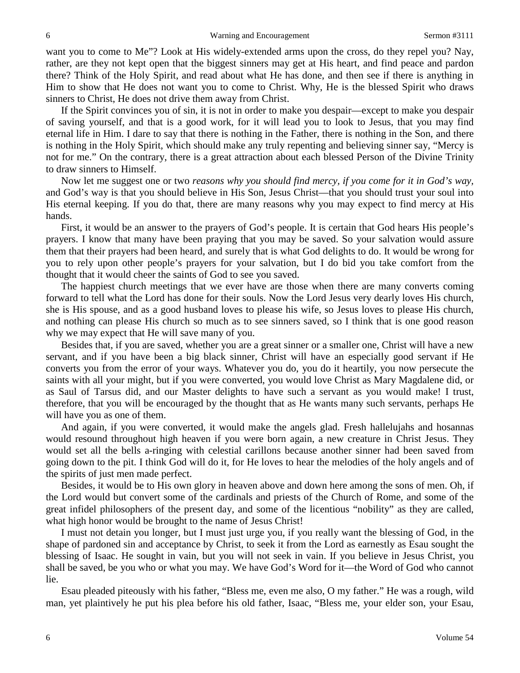want you to come to Me"? Look at His widely-extended arms upon the cross, do they repel you? Nay, rather, are they not kept open that the biggest sinners may get at His heart, and find peace and pardon there? Think of the Holy Spirit, and read about what He has done, and then see if there is anything in Him to show that He does not want you to come to Christ. Why, He is the blessed Spirit who draws sinners to Christ, He does not drive them away from Christ.

If the Spirit convinces you of sin, it is not in order to make you despair—except to make you despair of saving yourself, and that is a good work, for it will lead you to look to Jesus, that you may find eternal life in Him. I dare to say that there is nothing in the Father, there is nothing in the Son, and there is nothing in the Holy Spirit, which should make any truly repenting and believing sinner say, "Mercy is not for me." On the contrary, there is a great attraction about each blessed Person of the Divine Trinity to draw sinners to Himself.

Now let me suggest one or two *reasons why you should find mercy, if you come for it in God's way,*  and God's way is that you should believe in His Son, Jesus Christ—that you should trust your soul into His eternal keeping. If you do that, there are many reasons why you may expect to find mercy at His hands.

First, it would be an answer to the prayers of God's people. It is certain that God hears His people's prayers. I know that many have been praying that you may be saved. So your salvation would assure them that their prayers had been heard, and surely that is what God delights to do. It would be wrong for you to rely upon other people's prayers for your salvation, but I do bid you take comfort from the thought that it would cheer the saints of God to see you saved.

The happiest church meetings that we ever have are those when there are many converts coming forward to tell what the Lord has done for their souls. Now the Lord Jesus very dearly loves His church, she is His spouse, and as a good husband loves to please his wife, so Jesus loves to please His church, and nothing can please His church so much as to see sinners saved, so I think that is one good reason why we may expect that He will save many of you.

Besides that, if you are saved, whether you are a great sinner or a smaller one, Christ will have a new servant, and if you have been a big black sinner, Christ will have an especially good servant if He converts you from the error of your ways. Whatever you do, you do it heartily, you now persecute the saints with all your might, but if you were converted, you would love Christ as Mary Magdalene did, or as Saul of Tarsus did, and our Master delights to have such a servant as you would make! I trust, therefore, that you will be encouraged by the thought that as He wants many such servants, perhaps He will have you as one of them.

And again, if you were converted, it would make the angels glad. Fresh hallelujahs and hosannas would resound throughout high heaven if you were born again, a new creature in Christ Jesus. They would set all the bells a-ringing with celestial carillons because another sinner had been saved from going down to the pit. I think God will do it, for He loves to hear the melodies of the holy angels and of the spirits of just men made perfect.

Besides, it would be to His own glory in heaven above and down here among the sons of men. Oh, if the Lord would but convert some of the cardinals and priests of the Church of Rome, and some of the great infidel philosophers of the present day, and some of the licentious "nobility" as they are called, what high honor would be brought to the name of Jesus Christ!

I must not detain you longer, but I must just urge you, if you really want the blessing of God, in the shape of pardoned sin and acceptance by Christ, to seek it from the Lord as earnestly as Esau sought the blessing of Isaac. He sought in vain, but you will not seek in vain. If you believe in Jesus Christ, you shall be saved, be you who or what you may. We have God's Word for it—the Word of God who cannot lie.

Esau pleaded piteously with his father, "Bless me, even me also, O my father." He was a rough, wild man, yet plaintively he put his plea before his old father, Isaac, "Bless me, your elder son, your Esau,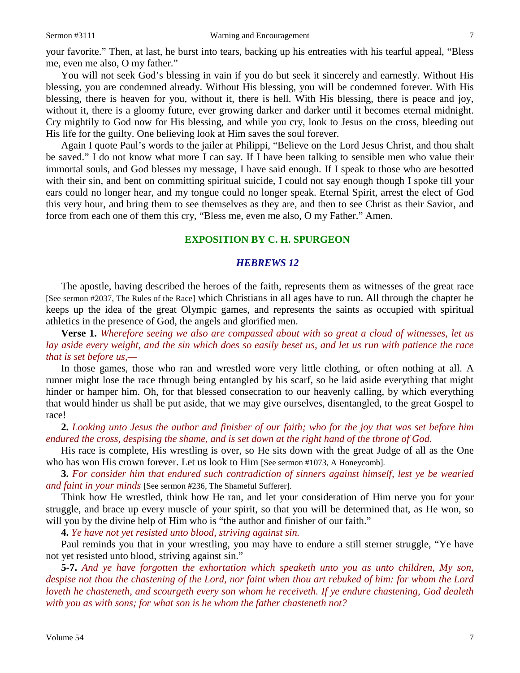You will not seek God's blessing in vain if you do but seek it sincerely and earnestly. Without His blessing, you are condemned already. Without His blessing, you will be condemned forever. With His blessing, there is heaven for you, without it, there is hell. With His blessing, there is peace and joy, without it, there is a gloomy future, ever growing darker and darker until it becomes eternal midnight. Cry mightily to God now for His blessing, and while you cry, look to Jesus on the cross, bleeding out His life for the guilty. One believing look at Him saves the soul forever.

Again I quote Paul's words to the jailer at Philippi, "Believe on the Lord Jesus Christ, and thou shalt be saved." I do not know what more I can say. If I have been talking to sensible men who value their immortal souls, and God blesses my message, I have said enough. If I speak to those who are besotted with their sin, and bent on committing spiritual suicide, I could not say enough though I spoke till your ears could no longer hear, and my tongue could no longer speak. Eternal Spirit, arrest the elect of God this very hour, and bring them to see themselves as they are, and then to see Christ as their Savior, and force from each one of them this cry, "Bless me, even me also, O my Father." Amen.

### **EXPOSITION BY C. H. SPURGEON**

#### *HEBREWS 12*

The apostle, having described the heroes of the faith, represents them as witnesses of the great race [See sermon #2037, The Rules of the Race] which Christians in all ages have to run. All through the chapter he keeps up the idea of the great Olympic games, and represents the saints as occupied with spiritual athletics in the presence of God, the angels and glorified men.

**Verse 1.** *Wherefore seeing we also are compassed about with so great a cloud of witnesses, let us lay aside every weight, and the sin which does so easily beset us, and let us run with patience the race that is set before us,—*

In those games, those who ran and wrestled wore very little clothing, or often nothing at all. A runner might lose the race through being entangled by his scarf, so he laid aside everything that might hinder or hamper him. Oh, for that blessed consecration to our heavenly calling, by which everything that would hinder us shall be put aside, that we may give ourselves, disentangled, to the great Gospel to race!

**2.** *Looking unto Jesus the author and finisher of our faith; who for the joy that was set before him endured the cross, despising the shame, and is set down at the right hand of the throne of God.*

His race is complete, His wrestling is over, so He sits down with the great Judge of all as the One who has won His crown forever. Let us look to Him [See sermon #1073, A Honeycomb]*.*

**3.** *For consider him that endured such contradiction of sinners against himself, lest ye be wearied and faint in your minds* [See sermon #236, The Shameful Sufferer].

Think how He wrestled, think how He ran, and let your consideration of Him nerve you for your struggle, and brace up every muscle of your spirit, so that you will be determined that, as He won, so will you by the divine help of Him who is "the author and finisher of our faith."

**4.** *Ye have not yet resisted unto blood, striving against sin.*

Paul reminds you that in your wrestling, you may have to endure a still sterner struggle, "Ye have not yet resisted unto blood, striving against sin."

**5-7.** *And ye have forgotten the exhortation which speaketh unto you as unto children, My son, despise not thou the chastening of the Lord, nor faint when thou art rebuked of him: for whom the Lord loveth he chasteneth, and scourgeth every son whom he receiveth. If ye endure chastening, God dealeth with you as with sons; for what son is he whom the father chasteneth not?*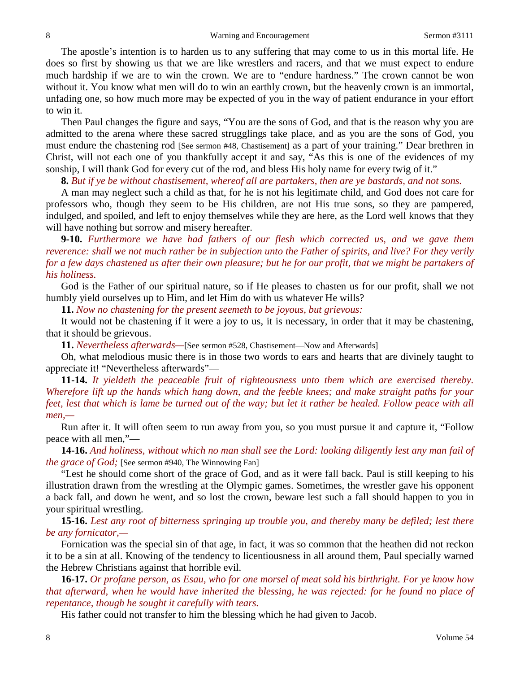The apostle's intention is to harden us to any suffering that may come to us in this mortal life. He does so first by showing us that we are like wrestlers and racers, and that we must expect to endure much hardship if we are to win the crown. We are to "endure hardness." The crown cannot be won without it. You know what men will do to win an earthly crown, but the heavenly crown is an immortal, unfading one, so how much more may be expected of you in the way of patient endurance in your effort to win it.

Then Paul changes the figure and says, "You are the sons of God, and that is the reason why you are admitted to the arena where these sacred strugglings take place, and as you are the sons of God, you must endure the chastening rod [See sermon #48, Chastisement] as a part of your training." Dear brethren in Christ, will not each one of you thankfully accept it and say, "As this is one of the evidences of my sonship, I will thank God for every cut of the rod, and bless His holy name for every twig of it."

**8.** *But if ye be without chastisement, whereof all are partakers, then are ye bastards, and not sons.*

A man may neglect such a child as that, for he is not his legitimate child, and God does not care for professors who, though they seem to be His children, are not His true sons, so they are pampered, indulged, and spoiled, and left to enjoy themselves while they are here, as the Lord well knows that they will have nothing but sorrow and misery hereafter.

**9-10.** *Furthermore we have had fathers of our flesh which corrected us, and we gave them reverence: shall we not much rather be in subjection unto the Father of spirits, and live? For they verily for a few days chastened us after their own pleasure; but he for our profit, that we might be partakers of his holiness.*

God is the Father of our spiritual nature, so if He pleases to chasten us for our profit, shall we not humbly yield ourselves up to Him, and let Him do with us whatever He wills?

**11.** *Now no chastening for the present seemeth to be joyous, but grievous:*

It would not be chastening if it were a joy to us, it is necessary, in order that it may be chastening, that it should be grievous.

**11.** *Nevertheless afterwards—*[See sermon #528, Chastisement—Now and Afterwards]

Oh, what melodious music there is in those two words to ears and hearts that are divinely taught to appreciate it! "Nevertheless afterwards"—

**11-14.** *It yieldeth the peaceable fruit of righteousness unto them which are exercised thereby. Wherefore lift up the hands which hang down, and the feeble knees; and make straight paths for your feet, lest that which is lame be turned out of the way; but let it rather be healed. Follow peace with all men,—*

Run after it. It will often seem to run away from you, so you must pursue it and capture it, "Follow peace with all men,"—

**14-16.** *And holiness, without which no man shall see the Lord: looking diligently lest any man fail of the grace of God;* [See sermon #940, The Winnowing Fan]

"Lest he should come short of the grace of God, and as it were fall back. Paul is still keeping to his illustration drawn from the wrestling at the Olympic games. Sometimes, the wrestler gave his opponent a back fall, and down he went, and so lost the crown, beware lest such a fall should happen to you in your spiritual wrestling.

**15-16.** *Lest any root of bitterness springing up trouble you, and thereby many be defiled; lest there be any fornicator,—*

Fornication was the special sin of that age, in fact, it was so common that the heathen did not reckon it to be a sin at all. Knowing of the tendency to licentiousness in all around them, Paul specially warned the Hebrew Christians against that horrible evil.

**16-17.** *Or profane person, as Esau, who for one morsel of meat sold his birthright. For ye know how that afterward, when he would have inherited the blessing, he was rejected: for he found no place of repentance, though he sought it carefully with tears.*

His father could not transfer to him the blessing which he had given to Jacob.